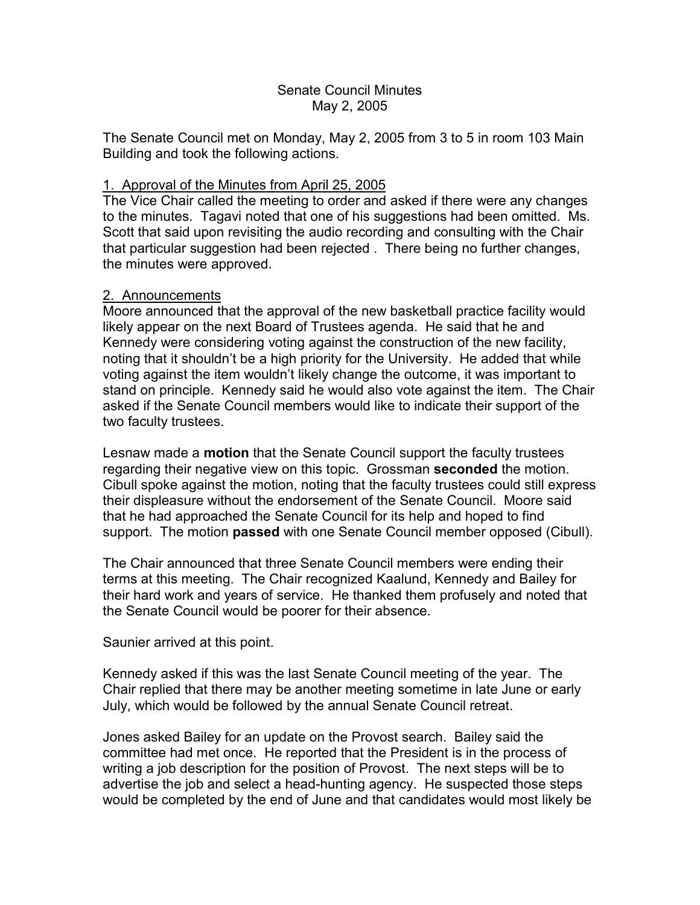## Senate Council Minutes May 2, 2005

The Senate Council met on Monday, May 2, 2005 from 3 to 5 in room 103 Main Building and took the following actions.

# 1. Approval of the Minutes from April 25, 2005

The Vice Chair called the meeting to order and asked if there were any changes to the minutes. Tagavi noted that one of his suggestions had been omitted. Ms. Scott that said upon revisiting the audio recording and consulting with the Chair that particular suggestion had been rejected . There being no further changes, the minutes were approved.

## 2. Announcements

Moore announced that the approval of the new basketball practice facility would likely appear on the next Board of Trustees agenda. He said that he and Kennedy were considering voting against the construction of the new facility, noting that it shouldn't be a high priority for the University. He added that while voting against the item wouldn't likely change the outcome, it was important to stand on principle. Kennedy said he would also vote against the item. The Chair asked if the Senate Council members would like to indicate their support of the two faculty trustees.

Lesnaw made a **motion** that the Senate Council support the faculty trustees regarding their negative view on this topic. Grossman **seconded** the motion. Cibull spoke against the motion, noting that the faculty trustees could still express their displeasure without the endorsement of the Senate Council. Moore said that he had approached the Senate Council for its help and hoped to find support. The motion **passed** with one Senate Council member opposed (Cibull).

The Chair announced that three Senate Council members were ending their terms at this meeting. The Chair recognized Kaalund, Kennedy and Bailey for their hard work and years of service. He thanked them profusely and noted that the Senate Council would be poorer for their absence.

Saunier arrived at this point.

Kennedy asked if this was the last Senate Council meeting of the year. The Chair replied that there may be another meeting sometime in late June or early July, which would be followed by the annual Senate Council retreat.

Jones asked Bailey for an update on the Provost search. Bailey said the committee had met once. He reported that the President is in the process of writing a job description for the position of Provost. The next steps will be to advertise the job and select a head-hunting agency. He suspected those steps would be completed by the end of June and that candidates would most likely be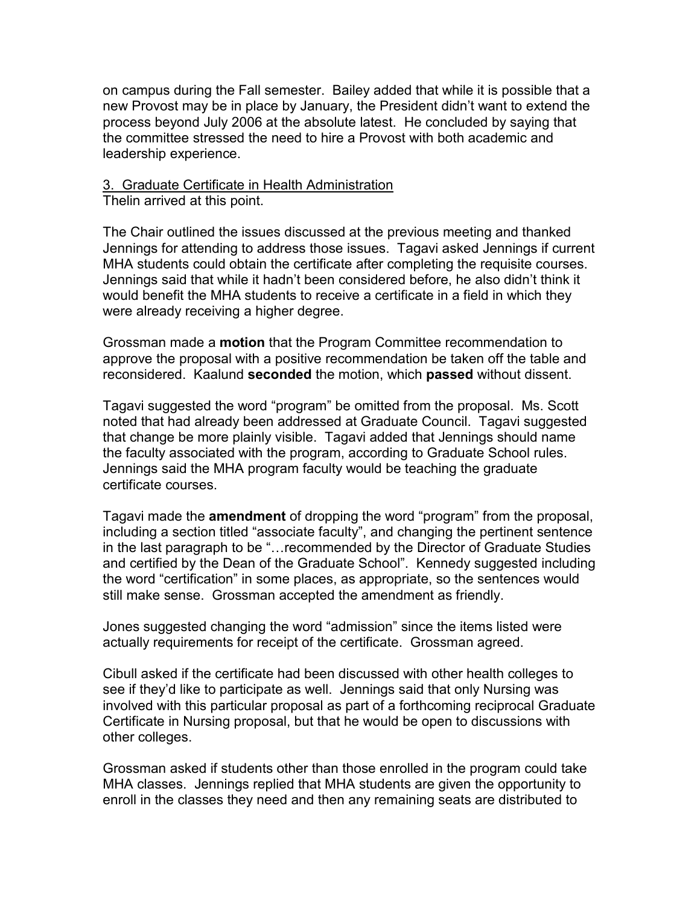on campus during the Fall semester. Bailey added that while it is possible that a new Provost may be in place by January, the President didn't want to extend the process beyond July 2006 at the absolute latest. He concluded by saying that the committee stressed the need to hire a Provost with both academic and leadership experience.

# 3. Graduate Certificate in Health Administration

Thelin arrived at this point.

The Chair outlined the issues discussed at the previous meeting and thanked Jennings for attending to address those issues. Tagavi asked Jennings if current MHA students could obtain the certificate after completing the requisite courses. Jennings said that while it hadn't been considered before, he also didn't think it would benefit the MHA students to receive a certificate in a field in which they were already receiving a higher degree.

Grossman made a **motion** that the Program Committee recommendation to approve the proposal with a positive recommendation be taken off the table and reconsidered. Kaalund **seconded** the motion, which **passed** without dissent.

Tagavi suggested the word "program" be omitted from the proposal. Ms. Scott noted that had already been addressed at Graduate Council. Tagavi suggested that change be more plainly visible. Tagavi added that Jennings should name the faculty associated with the program, according to Graduate School rules. Jennings said the MHA program faculty would be teaching the graduate certificate courses.

Tagavi made the **amendment** of dropping the word "program" from the proposal, including a section titled "associate faculty", and changing the pertinent sentence in the last paragraph to be "…recommended by the Director of Graduate Studies and certified by the Dean of the Graduate School". Kennedy suggested including the word "certification" in some places, as appropriate, so the sentences would still make sense. Grossman accepted the amendment as friendly.

Jones suggested changing the word "admission" since the items listed were actually requirements for receipt of the certificate. Grossman agreed.

Cibull asked if the certificate had been discussed with other health colleges to see if they'd like to participate as well. Jennings said that only Nursing was involved with this particular proposal as part of a forthcoming reciprocal Graduate Certificate in Nursing proposal, but that he would be open to discussions with other colleges.

Grossman asked if students other than those enrolled in the program could take MHA classes. Jennings replied that MHA students are given the opportunity to enroll in the classes they need and then any remaining seats are distributed to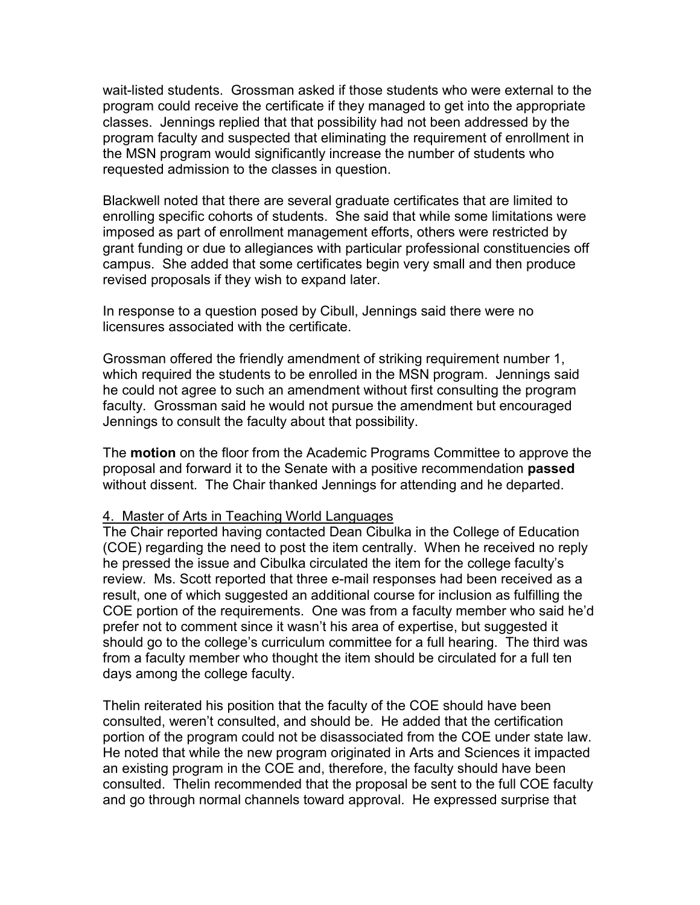wait-listed students. Grossman asked if those students who were external to the program could receive the certificate if they managed to get into the appropriate classes. Jennings replied that that possibility had not been addressed by the program faculty and suspected that eliminating the requirement of enrollment in the MSN program would significantly increase the number of students who requested admission to the classes in question.

Blackwell noted that there are several graduate certificates that are limited to enrolling specific cohorts of students. She said that while some limitations were imposed as part of enrollment management efforts, others were restricted by grant funding or due to allegiances with particular professional constituencies off campus. She added that some certificates begin very small and then produce revised proposals if they wish to expand later.

In response to a question posed by Cibull, Jennings said there were no licensures associated with the certificate.

Grossman offered the friendly amendment of striking requirement number 1, which required the students to be enrolled in the MSN program. Jennings said he could not agree to such an amendment without first consulting the program faculty. Grossman said he would not pursue the amendment but encouraged Jennings to consult the faculty about that possibility.

The **motion** on the floor from the Academic Programs Committee to approve the proposal and forward it to the Senate with a positive recommendation **passed** without dissent. The Chair thanked Jennings for attending and he departed.

#### 4. Master of Arts in Teaching World Languages

The Chair reported having contacted Dean Cibulka in the College of Education (COE) regarding the need to post the item centrally. When he received no reply he pressed the issue and Cibulka circulated the item for the college faculty's review. Ms. Scott reported that three e-mail responses had been received as a result, one of which suggested an additional course for inclusion as fulfilling the COE portion of the requirements. One was from a faculty member who said he'd prefer not to comment since it wasn't his area of expertise, but suggested it should go to the college's curriculum committee for a full hearing. The third was from a faculty member who thought the item should be circulated for a full ten days among the college faculty.

Thelin reiterated his position that the faculty of the COE should have been consulted, weren't consulted, and should be. He added that the certification portion of the program could not be disassociated from the COE under state law. He noted that while the new program originated in Arts and Sciences it impacted an existing program in the COE and, therefore, the faculty should have been consulted. Thelin recommended that the proposal be sent to the full COE faculty and go through normal channels toward approval. He expressed surprise that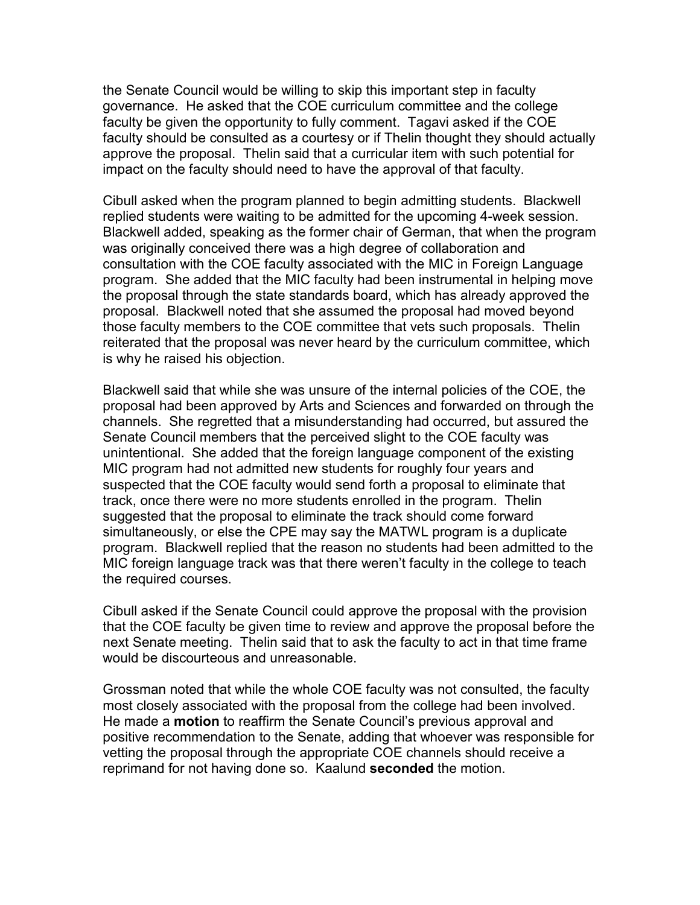the Senate Council would be willing to skip this important step in faculty governance. He asked that the COE curriculum committee and the college faculty be given the opportunity to fully comment. Tagavi asked if the COE faculty should be consulted as a courtesy or if Thelin thought they should actually approve the proposal. Thelin said that a curricular item with such potential for impact on the faculty should need to have the approval of that faculty.

Cibull asked when the program planned to begin admitting students. Blackwell replied students were waiting to be admitted for the upcoming 4-week session. Blackwell added, speaking as the former chair of German, that when the program was originally conceived there was a high degree of collaboration and consultation with the COE faculty associated with the MIC in Foreign Language program. She added that the MIC faculty had been instrumental in helping move the proposal through the state standards board, which has already approved the proposal. Blackwell noted that she assumed the proposal had moved beyond those faculty members to the COE committee that vets such proposals. Thelin reiterated that the proposal was never heard by the curriculum committee, which is why he raised his objection.

Blackwell said that while she was unsure of the internal policies of the COE, the proposal had been approved by Arts and Sciences and forwarded on through the channels. She regretted that a misunderstanding had occurred, but assured the Senate Council members that the perceived slight to the COE faculty was unintentional. She added that the foreign language component of the existing MIC program had not admitted new students for roughly four years and suspected that the COE faculty would send forth a proposal to eliminate that track, once there were no more students enrolled in the program. Thelin suggested that the proposal to eliminate the track should come forward simultaneously, or else the CPE may say the MATWL program is a duplicate program. Blackwell replied that the reason no students had been admitted to the MIC foreign language track was that there weren't faculty in the college to teach the required courses.

Cibull asked if the Senate Council could approve the proposal with the provision that the COE faculty be given time to review and approve the proposal before the next Senate meeting. Thelin said that to ask the faculty to act in that time frame would be discourteous and unreasonable.

Grossman noted that while the whole COE faculty was not consulted, the faculty most closely associated with the proposal from the college had been involved. He made a **motion** to reaffirm the Senate Council's previous approval and positive recommendation to the Senate, adding that whoever was responsible for vetting the proposal through the appropriate COE channels should receive a reprimand for not having done so. Kaalund **seconded** the motion.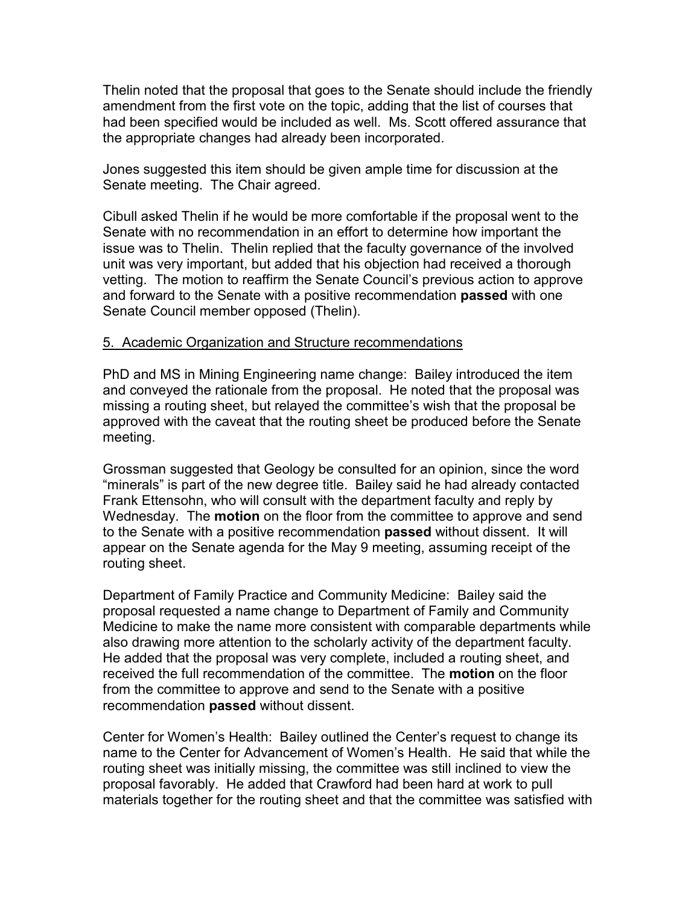Thelin noted that the proposal that goes to the Senate should include the friendly amendment from the first vote on the topic, adding that the list of courses that had been specified would be included as well. Ms. Scott offered assurance that the appropriate changes had already been incorporated.

Jones suggested this item should be given ample time for discussion at the Senate meeting. The Chair agreed.

Cibull asked Thelin if he would be more comfortable if the proposal went to the Senate with no recommendation in an effort to determine how important the issue was to Thelin. Thelin replied that the faculty governance of the involved unit was very important, but added that his objection had received a thorough vetting. The motion to reaffirm the Senate Council's previous action to approve and forward to the Senate with a positive recommendation **passed** with one Senate Council member opposed (Thelin).

## 5. Academic Organization and Structure recommendations

PhD and MS in Mining Engineering name change: Bailey introduced the item and conveyed the rationale from the proposal. He noted that the proposal was missing a routing sheet, but relayed the committee's wish that the proposal be approved with the caveat that the routing sheet be produced before the Senate meeting.

Grossman suggested that Geology be consulted for an opinion, since the word "minerals" is part of the new degree title. Bailey said he had already contacted Frank Ettensohn, who will consult with the department faculty and reply by Wednesday. The **motion** on the floor from the committee to approve and send to the Senate with a positive recommendation **passed** without dissent. It will appear on the Senate agenda for the May 9 meeting, assuming receipt of the routing sheet.

Department of Family Practice and Community Medicine: Bailey said the proposal requested a name change to Department of Family and Community Medicine to make the name more consistent with comparable departments while also drawing more attention to the scholarly activity of the department faculty. He added that the proposal was very complete, included a routing sheet, and received the full recommendation of the committee. The **motion** on the floor from the committee to approve and send to the Senate with a positive recommendation **passed** without dissent.

Center for Women's Health: Bailey outlined the Center's request to change its name to the Center for Advancement of Women's Health. He said that while the routing sheet was initially missing, the committee was still inclined to view the proposal favorably. He added that Crawford had been hard at work to pull materials together for the routing sheet and that the committee was satisfied with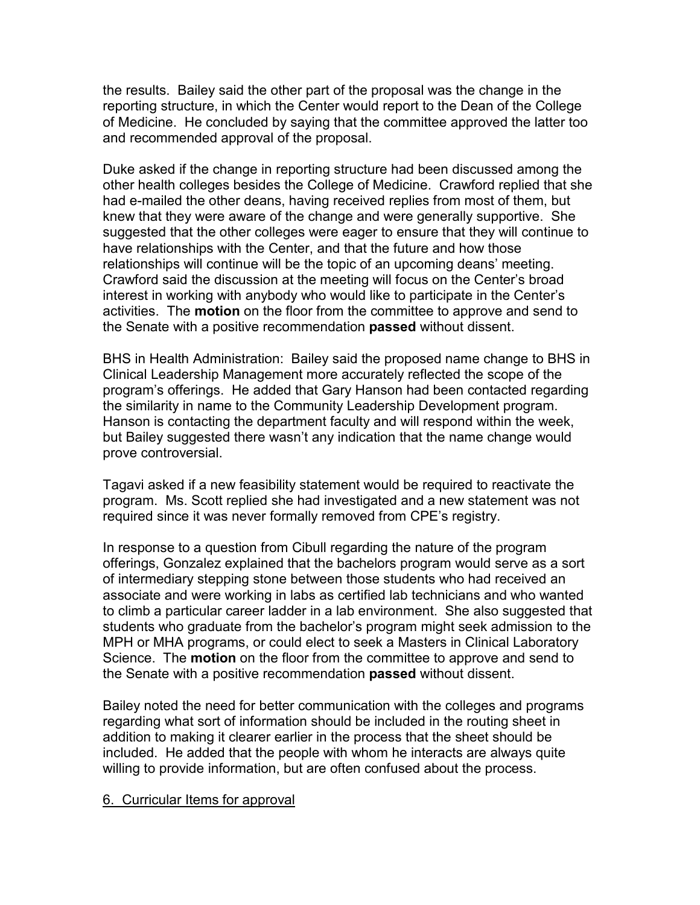the results. Bailey said the other part of the proposal was the change in the reporting structure, in which the Center would report to the Dean of the College of Medicine. He concluded by saying that the committee approved the latter too and recommended approval of the proposal.

Duke asked if the change in reporting structure had been discussed among the other health colleges besides the College of Medicine. Crawford replied that she had e-mailed the other deans, having received replies from most of them, but knew that they were aware of the change and were generally supportive. She suggested that the other colleges were eager to ensure that they will continue to have relationships with the Center, and that the future and how those relationships will continue will be the topic of an upcoming deans' meeting. Crawford said the discussion at the meeting will focus on the Center's broad interest in working with anybody who would like to participate in the Center's activities. The **motion** on the floor from the committee to approve and send to the Senate with a positive recommendation **passed** without dissent.

BHS in Health Administration: Bailey said the proposed name change to BHS in Clinical Leadership Management more accurately reflected the scope of the program's offerings. He added that Gary Hanson had been contacted regarding the similarity in name to the Community Leadership Development program. Hanson is contacting the department faculty and will respond within the week, but Bailey suggested there wasn't any indication that the name change would prove controversial.

Tagavi asked if a new feasibility statement would be required to reactivate the program. Ms. Scott replied she had investigated and a new statement was not required since it was never formally removed from CPE's registry.

In response to a question from Cibull regarding the nature of the program offerings, Gonzalez explained that the bachelors program would serve as a sort of intermediary stepping stone between those students who had received an associate and were working in labs as certified lab technicians and who wanted to climb a particular career ladder in a lab environment. She also suggested that students who graduate from the bachelor's program might seek admission to the MPH or MHA programs, or could elect to seek a Masters in Clinical Laboratory Science. The **motion** on the floor from the committee to approve and send to the Senate with a positive recommendation **passed** without dissent.

Bailey noted the need for better communication with the colleges and programs regarding what sort of information should be included in the routing sheet in addition to making it clearer earlier in the process that the sheet should be included. He added that the people with whom he interacts are always quite willing to provide information, but are often confused about the process.

### 6. Curricular Items for approval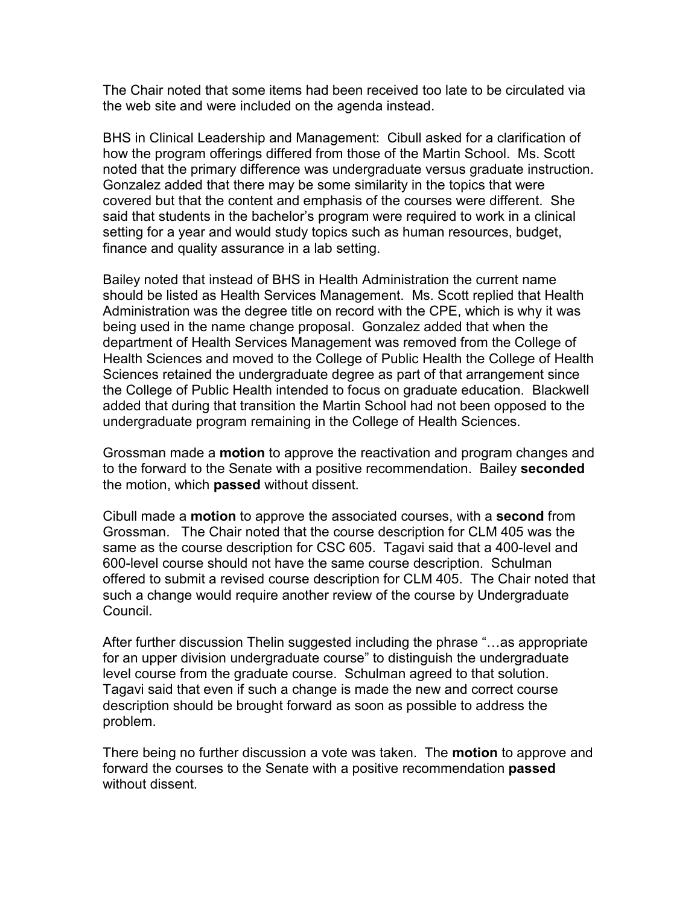The Chair noted that some items had been received too late to be circulated via the web site and were included on the agenda instead.

BHS in Clinical Leadership and Management: Cibull asked for a clarification of how the program offerings differed from those of the Martin School. Ms. Scott noted that the primary difference was undergraduate versus graduate instruction. Gonzalez added that there may be some similarity in the topics that were covered but that the content and emphasis of the courses were different. She said that students in the bachelor's program were required to work in a clinical setting for a year and would study topics such as human resources, budget, finance and quality assurance in a lab setting.

Bailey noted that instead of BHS in Health Administration the current name should be listed as Health Services Management. Ms. Scott replied that Health Administration was the degree title on record with the CPE, which is why it was being used in the name change proposal. Gonzalez added that when the department of Health Services Management was removed from the College of Health Sciences and moved to the College of Public Health the College of Health Sciences retained the undergraduate degree as part of that arrangement since the College of Public Health intended to focus on graduate education. Blackwell added that during that transition the Martin School had not been opposed to the undergraduate program remaining in the College of Health Sciences.

Grossman made a **motion** to approve the reactivation and program changes and to the forward to the Senate with a positive recommendation. Bailey **seconded** the motion, which **passed** without dissent.

Cibull made a **motion** to approve the associated courses, with a **second** from Grossman. The Chair noted that the course description for CLM 405 was the same as the course description for CSC 605. Tagavi said that a 400-level and 600-level course should not have the same course description. Schulman offered to submit a revised course description for CLM 405. The Chair noted that such a change would require another review of the course by Undergraduate Council.

After further discussion Thelin suggested including the phrase "…as appropriate for an upper division undergraduate course" to distinguish the undergraduate level course from the graduate course. Schulman agreed to that solution. Tagavi said that even if such a change is made the new and correct course description should be brought forward as soon as possible to address the problem.

There being no further discussion a vote was taken. The **motion** to approve and forward the courses to the Senate with a positive recommendation **passed** without dissent.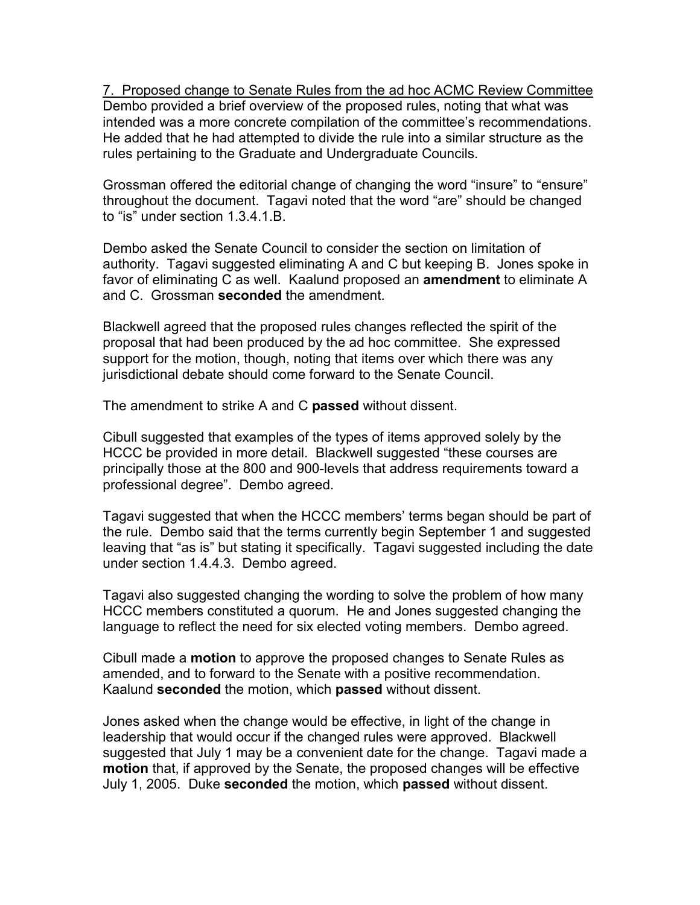7. Proposed change to Senate Rules from the ad hoc ACMC Review Committee Dembo provided a brief overview of the proposed rules, noting that what was intended was a more concrete compilation of the committee's recommendations. He added that he had attempted to divide the rule into a similar structure as the rules pertaining to the Graduate and Undergraduate Councils.

Grossman offered the editorial change of changing the word "insure" to "ensure" throughout the document. Tagavi noted that the word "are" should be changed to "is" under section 1.3.4.1.B.

Dembo asked the Senate Council to consider the section on limitation of authority. Tagavi suggested eliminating A and C but keeping B. Jones spoke in favor of eliminating C as well. Kaalund proposed an **amendment** to eliminate A and C. Grossman **seconded** the amendment.

Blackwell agreed that the proposed rules changes reflected the spirit of the proposal that had been produced by the ad hoc committee. She expressed support for the motion, though, noting that items over which there was any jurisdictional debate should come forward to the Senate Council.

The amendment to strike A and C **passed** without dissent.

Cibull suggested that examples of the types of items approved solely by the HCCC be provided in more detail. Blackwell suggested "these courses are principally those at the 800 and 900-levels that address requirements toward a professional degree". Dembo agreed.

Tagavi suggested that when the HCCC members' terms began should be part of the rule. Dembo said that the terms currently begin September 1 and suggested leaving that "as is" but stating it specifically. Tagavi suggested including the date under section 1.4.4.3. Dembo agreed.

Tagavi also suggested changing the wording to solve the problem of how many HCCC members constituted a quorum. He and Jones suggested changing the language to reflect the need for six elected voting members. Dembo agreed.

Cibull made a **motion** to approve the proposed changes to Senate Rules as amended, and to forward to the Senate with a positive recommendation. Kaalund **seconded** the motion, which **passed** without dissent.

Jones asked when the change would be effective, in light of the change in leadership that would occur if the changed rules were approved. Blackwell suggested that July 1 may be a convenient date for the change. Tagavi made a **motion** that, if approved by the Senate, the proposed changes will be effective July 1, 2005. Duke **seconded** the motion, which **passed** without dissent.